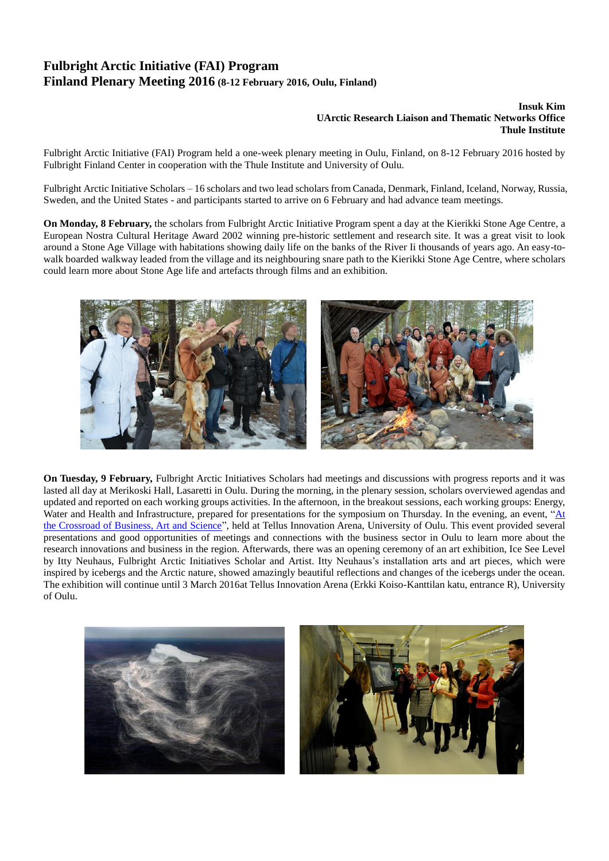# **Fulbright Arctic Initiative (FAI) Program Finland Plenary Meeting 2016 (8-12 February 2016, Oulu, Finland)**

### **Insuk Kim UArctic Research Liaison and Thematic Networks Office Thule Institute**

Fulbright Arctic Initiative (FAI) Program held a one-week plenary meeting in Oulu, Finland, on 8-12 February 2016 hosted by Fulbright Finland Center in cooperation with the Thule Institute and University of Oulu.

Fulbright Arctic Initiative Scholars – 16 scholars and two lead scholars from Canada, Denmark, Finland, Iceland, Norway, Russia, Sweden, and the United States - and participants started to arrive on 6 February and had advance team meetings.

**On Monday, 8 February,** the scholars from Fulbright Arctic Initiative Program spent a day at the Kierikki Stone Age Centre, a European Nostra Cultural Heritage Award 2002 winning pre-historic settlement and research site. It was a great visit to look around a Stone Age Village with habitations showing daily life on the banks of the River Ii thousands of years ago. An easy-towalk boarded walkway leaded from the village and its neighbouring snare path to the Kierikki Stone Age Centre, where scholars could learn more about Stone Age life and artefacts through films and an exhibition.



**On Tuesday, 9 February,** Fulbright Arctic Initiatives Scholars had meetings and discussions with progress reports and it was lasted all day at Merikoski Hall, Lasaretti in Oulu. During the morning, in the plenary session, scholars overviewed agendas and updated and reported on each working groups activities. In the afternoon, in the breakout sessions, each working groups: Energy, Water and Health and Infrastructure, prepared for presentations for the symposium on Thursday. In the evening, an event, ["At](http://www.businessoulu.com/en)  [the Crossroad of Business, Art and Science"](http://www.businessoulu.com/en), held at Tellus Innovation Arena, University of Oulu. This event provided several presentations and good opportunities of meetings and connections with the business sector in Oulu to learn more about the research innovations and business in the region. Afterwards, there was an opening ceremony of an art exhibition, Ice See Level by Itty Neuhaus, Fulbright Arctic Initiatives Scholar and Artist. Itty Neuhaus's installation arts and art pieces, which were inspired by icebergs and the Arctic nature, showed amazingly beautiful reflections and changes of the icebergs under the ocean. The exhibition will continue until 3 March 2016at Tellus Innovation Arena (Erkki Koiso-Kanttilan katu, entrance R), University of Oulu.

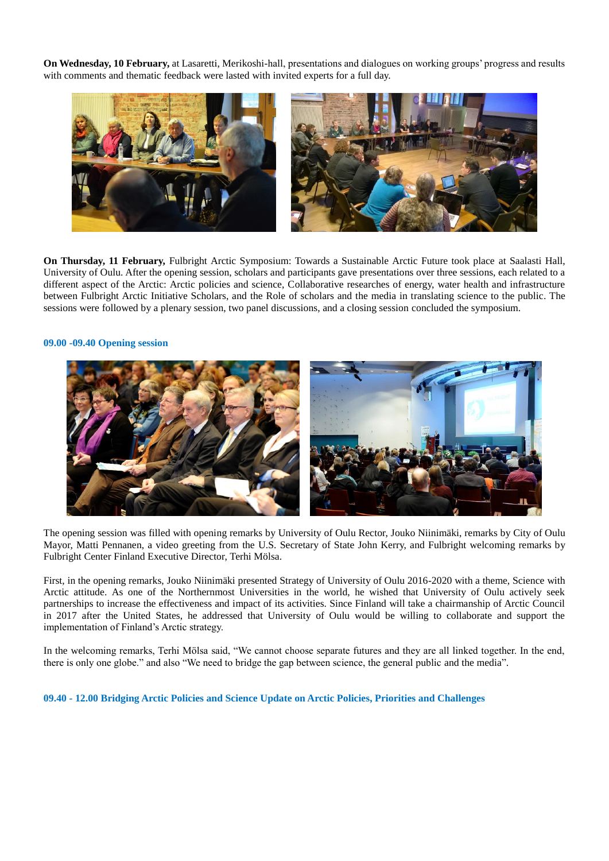**On Wednesday, 10 February,** at Lasaretti, Merikoshi-hall, presentations and dialogues on working groups' progress and results with comments and thematic feedback were lasted with invited experts for a full day.



**On Thursday, 11 February,** Fulbright Arctic Symposium: Towards a Sustainable Arctic Future took place at Saalasti Hall, University of Oulu. After the opening session, scholars and participants gave presentations over three sessions, each related to a different aspect of the Arctic: Arctic policies and science, Collaborative researches of energy, water health and infrastructure between Fulbright Arctic Initiative Scholars, and the Role of scholars and the media in translating science to the public. The sessions were followed by a plenary session, two panel discussions, and a closing session concluded the symposium.

#### **09.00 -09.40 Opening session**



The opening session was filled with opening remarks by University of Oulu Rector, Jouko Niinimäki, remarks by City of Oulu Mayor, Matti Pennanen, a video greeting from the U.S. Secretary of State John Kerry, and Fulbright welcoming remarks by Fulbright Center Finland Executive Director, Terhi Mölsa.

First, in the opening remarks, Jouko Niinimäki presented Strategy of University of Oulu 2016-2020 with a theme, Science with Arctic attitude. As one of the Northernmost Universities in the world, he wished that University of Oulu actively seek partnerships to increase the effectiveness and impact of its activities. Since Finland will take a chairmanship of Arctic Council in 2017 after the United States, he addressed that University of Oulu would be willing to collaborate and support the implementation of Finland's Arctic strategy.

In the welcoming remarks, Terhi Mölsa said, "We cannot choose separate futures and they are all linked together. In the end, there is only one globe." and also "We need to bridge the gap between science, the general public and the media".

**09.40 - 12.00 Bridging Arctic Policies and Science Update on Arctic Policies, Priorities and Challenges**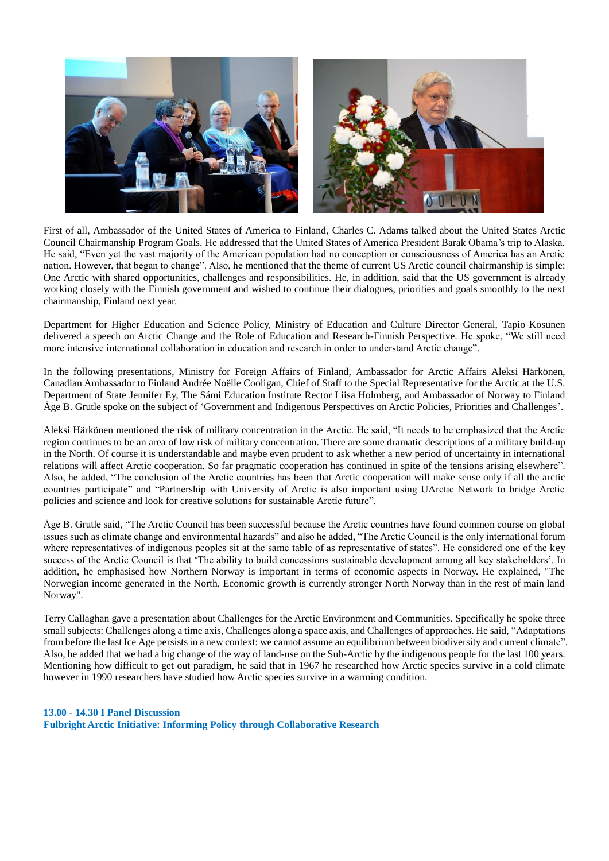

First of all, Ambassador of the United States of America to Finland, Charles C. Adams talked about the United States Arctic Council Chairmanship Program Goals. He addressed that the United States of America President Barak Obama's trip to Alaska. He said, "Even yet the vast majority of the American population had no conception or consciousness of America has an Arctic nation. However, that began to change". Also, he mentioned that the theme of current US Arctic council chairmanship is simple: One Arctic with shared opportunities, challenges and responsibilities. He, in addition, said that the US government is already working closely with the Finnish government and wished to continue their dialogues, priorities and goals smoothly to the next chairmanship, Finland next year.

Department for Higher Education and Science Policy, Ministry of Education and Culture Director General, Tapio Kosunen delivered a speech on Arctic Change and the Role of Education and Research-Finnish Perspective. He spoke, "We still need more intensive international collaboration in education and research in order to understand Arctic change".

In the following presentations, Ministry for Foreign Affairs of Finland, Ambassador for Arctic Affairs Aleksi Härkönen, Canadian Ambassador to Finland Andrée Noëlle Cooligan, Chief of Staff to the Special Representative for the Arctic at the U.S. Department of State Jennifer Ey, The Sámi Education Institute Rector Liisa Holmberg, and Ambassador of Norway to Finland Åge B. Grutle spoke on the subject of 'Government and Indigenous Perspectives on Arctic Policies, Priorities and Challenges'.

Aleksi Härkönen mentioned the risk of military concentration in the Arctic. He said, "It needs to be emphasized that the Arctic region continues to be an area of low risk of military concentration. There are some dramatic descriptions of a military build-up in the North. Of course it is understandable and maybe even prudent to ask whether a new period of uncertainty in international relations will affect Arctic cooperation. So far pragmatic cooperation has continued in spite of the tensions arising elsewhere". Also, he added, "The conclusion of the Arctic countries has been that Arctic cooperation will make sense only if all the arctic countries participate" and "Partnership with University of Arctic is also important using UArctic Network to bridge Arctic policies and science and look for creative solutions for sustainable Arctic future".

Åge B. Grutle said, "The Arctic Council has been successful because the Arctic countries have found common course on global issues such as climate change and environmental hazards" and also he added, "The Arctic Council is the only international forum where representatives of indigenous peoples sit at the same table of as representative of states". He considered one of the key success of the Arctic Council is that 'The ability to build concessions sustainable development among all key stakeholders'. In addition, he emphasised how Northern Norway is important in terms of economic aspects in Norway. He explained, "The Norwegian income generated in the North. Economic growth is currently stronger North Norway than in the rest of main land Norway".

Terry Callaghan gave a presentation about Challenges for the Arctic Environment and Communities. Specifically he spoke three small subjects: Challenges along a time axis, Challenges along a space axis, and Challenges of approaches. He said, "Adaptations from before the last Ice Age persists in a new context: we cannot assume an equilibrium between biodiversity and current climate". Also, he added that we had a big change of the way of land-use on the Sub-Arctic by the indigenous people for the last 100 years. Mentioning how difficult to get out paradigm, he said that in 1967 he researched how Arctic species survive in a cold climate however in 1990 researchers have studied how Arctic species survive in a warming condition.

#### **13.00 - 14.30 I Panel Discussion**

**Fulbright Arctic Initiative: Informing Policy through Collaborative Research**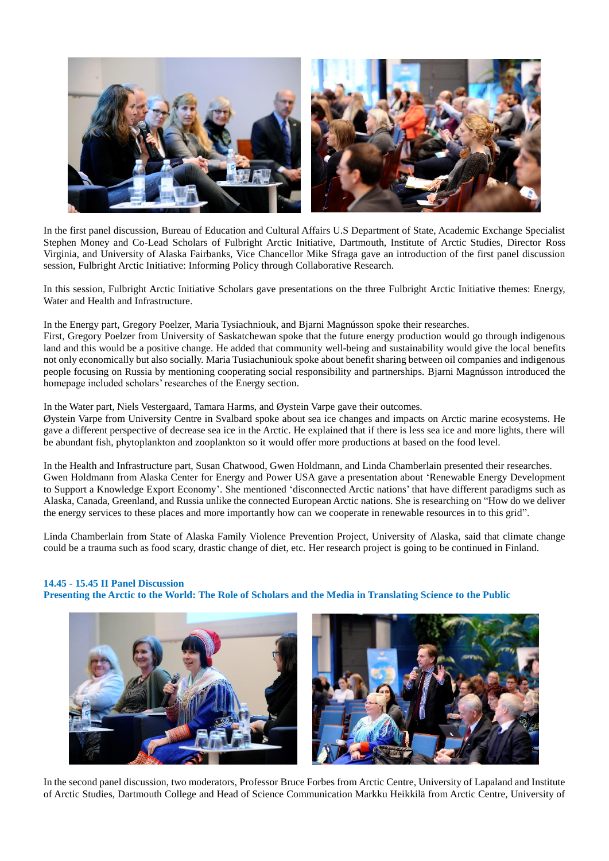

In the first panel discussion, Bureau of Education and Cultural Affairs U.S Department of State, Academic Exchange Specialist Stephen Money and Co-Lead Scholars of Fulbright Arctic Initiative, Dartmouth, Institute of Arctic Studies, Director Ross Virginia, and University of Alaska Fairbanks, Vice Chancellor Mike Sfraga gave an introduction of the first panel discussion session, Fulbright Arctic Initiative: Informing Policy through Collaborative Research.

In this session, Fulbright Arctic Initiative Scholars gave presentations on the three Fulbright Arctic Initiative themes: Energy, Water and Health and Infrastructure.

In the Energy part, Gregory Poelzer, Maria Tysiachniouk, and Bjarni Magnússon spoke their researches.

First, Gregory Poelzer from University of Saskatchewan spoke that the future energy production would go through indigenous land and this would be a positive change. He added that community well-being and sustainability would give the local benefits not only economically but also socially. Maria Tusiachuniouk spoke about benefit sharing between oil companies and indigenous people focusing on Russia by mentioning cooperating social responsibility and partnerships. Bjarni Magnússon introduced the homepage included scholars' researches of the Energy section.

In the Water part, Niels Vestergaard, Tamara Harms, and Øystein Varpe gave their outcomes.

Øystein Varpe from University Centre in Svalbard spoke about sea ice changes and impacts on Arctic marine ecosystems. He gave a different perspective of decrease sea ice in the Arctic. He explained that if there is less sea ice and more lights, there will be abundant fish, phytoplankton and zooplankton so it would offer more productions at based on the food level.

In the Health and Infrastructure part, Susan Chatwood, Gwen Holdmann, and Linda Chamberlain presented their researches. Gwen Holdmann from Alaska Center for Energy and Power USA gave a presentation about 'Renewable Energy Development to Support a Knowledge Export Economy'. She mentioned 'disconnected Arctic nations' that have different paradigms such as Alaska, Canada, Greenland, and Russia unlike the connected European Arctic nations. She is researching on "How do we deliver the energy services to these places and more importantly how can we cooperate in renewable resources in to this grid".

Linda Chamberlain from State of Alaska Family Violence Prevention Project, University of Alaska, said that climate change could be a trauma such as food scary, drastic change of diet, etc. Her research project is going to be continued in Finland.

**14.45 - 15.45 II Panel Discussion Presenting the Arctic to the World: The Role of Scholars and the Media in Translating Science to the Public**





In the second panel discussion, two moderators, Professor Bruce Forbes from Arctic Centre, University of Lapaland and Institute of Arctic Studies, Dartmouth College and Head of Science Communication Markku Heikkilä from Arctic Centre, University of